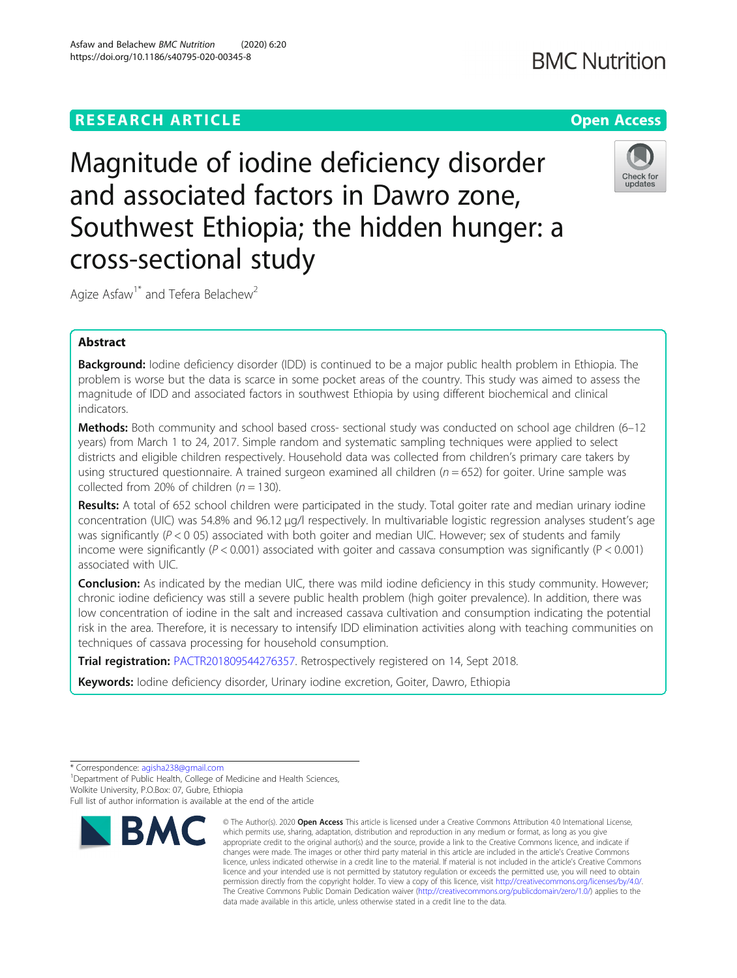# **RESEARCH ARTICLE Example 2014 12:30 The Contract of Contract ACCESS**

Magnitude of iodine deficiency disorder and associated factors in Dawro zone, Southwest Ethiopia; the hidden hunger: a cross-sectional study

Agize Asfaw<sup>1\*</sup> and Tefera Belachew<sup>2</sup>

# Abstract

**Background:** Iodine deficiency disorder (IDD) is continued to be a major public health problem in Ethiopia. The problem is worse but the data is scarce in some pocket areas of the country. This study was aimed to assess the magnitude of IDD and associated factors in southwest Ethiopia by using different biochemical and clinical indicators.

Methods: Both community and school based cross- sectional study was conducted on school age children (6-12 years) from March 1 to 24, 2017. Simple random and systematic sampling techniques were applied to select districts and eligible children respectively. Household data was collected from children's primary care takers by using structured questionnaire. A trained surgeon examined all children ( $n = 652$ ) for goiter. Urine sample was collected from 20% of children ( $n = 130$ ).

Results: A total of 652 school children were participated in the study. Total goiter rate and median urinary iodine concentration (UIC) was 54.8% and 96.12 μg/l respectively. In multivariable logistic regression analyses student's age was significantly ( $P < 0$  05) associated with both goiter and median UIC. However; sex of students and family income were significantly ( $P < 0.001$ ) associated with goiter and cassava consumption was significantly ( $P < 0.001$ ) associated with UIC.

**Conclusion:** As indicated by the median UIC, there was mild iodine deficiency in this study community. However; chronic iodine deficiency was still a severe public health problem (high goiter prevalence). In addition, there was low concentration of iodine in the salt and increased cassava cultivation and consumption indicating the potential risk in the area. Therefore, it is necessary to intensify IDD elimination activities along with teaching communities on techniques of cassava processing for household consumption.

data made available in this article, unless otherwise stated in a credit line to the data.

© The Author(s), 2020 **Open Access** This article is licensed under a Creative Commons Attribution 4.0 International License,

Trial registration: [PACTR201809544276357.](https://www.pactr.org) Retrospectively registered on 14, Sept 2018.

Keywords: Iodine deficiency disorder, Urinary iodine excretion, Goiter, Dawro, Ethiopia









<sup>\*</sup> Correspondence: [agisha238@gmail.com](mailto:agisha238@gmail.com) <sup>1</sup>

<sup>&</sup>lt;sup>1</sup> Department of Public Health, College of Medicine and Health Sciences, Wolkite University, P.O.Box: 07, Gubre, Ethiopia

Full list of author information is available at the end of the article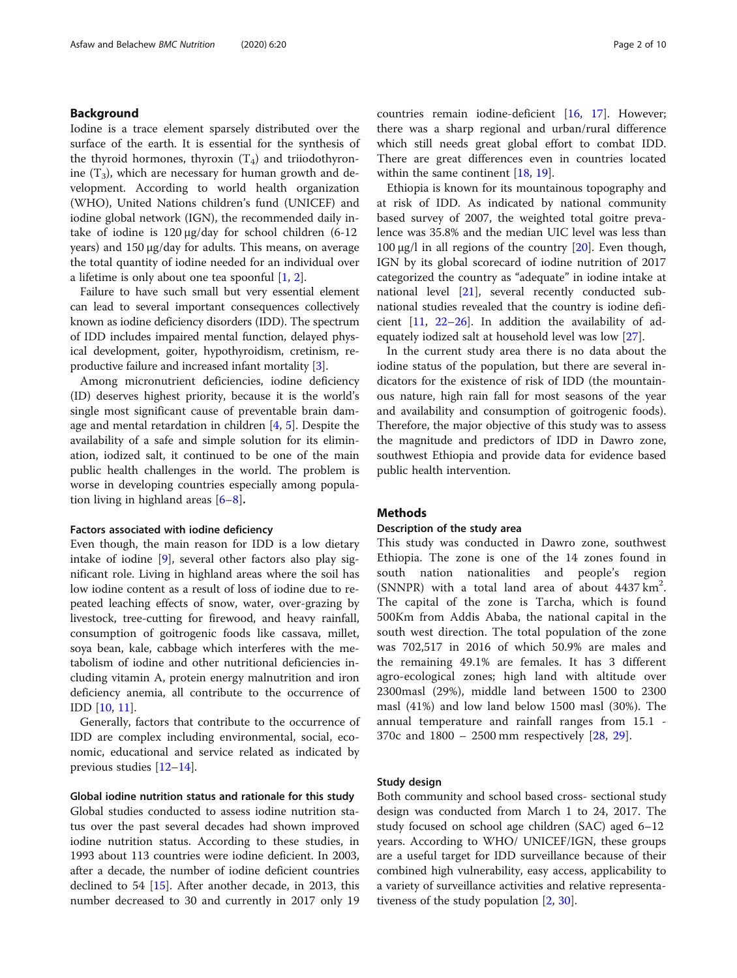# Background

Iodine is a trace element sparsely distributed over the surface of the earth. It is essential for the synthesis of the thyroid hormones, thyroxin  $(T_4)$  and triiodothyronine  $(T_3)$ , which are necessary for human growth and development. According to world health organization (WHO), United Nations children's fund (UNICEF) and iodine global network (IGN), the recommended daily intake of iodine is 120 μg/day for school children (6-12 years) and 150 μg/day for adults. This means, on average the total quantity of iodine needed for an individual over a lifetime is only about one tea spoonful [[1,](#page-8-0) [2\]](#page-8-0).

Failure to have such small but very essential element can lead to several important consequences collectively known as iodine deficiency disorders (IDD). The spectrum of IDD includes impaired mental function, delayed physical development, goiter, hypothyroidism, cretinism, reproductive failure and increased infant mortality [\[3](#page-9-0)].

Among micronutrient deficiencies, iodine deficiency (ID) deserves highest priority, because it is the world's single most significant cause of preventable brain damage and mental retardation in children [[4,](#page-9-0) [5\]](#page-9-0). Despite the availability of a safe and simple solution for its elimination, iodized salt, it continued to be one of the main public health challenges in the world. The problem is worse in developing countries especially among population living in highland areas  $[6-8]$  $[6-8]$  $[6-8]$ .

#### Factors associated with iodine deficiency

Even though, the main reason for IDD is a low dietary intake of iodine [[9\]](#page-9-0), several other factors also play significant role. Living in highland areas where the soil has low iodine content as a result of loss of iodine due to repeated leaching effects of snow, water, over-grazing by livestock, tree-cutting for firewood, and heavy rainfall, consumption of goitrogenic foods like cassava, millet, soya bean, kale, cabbage which interferes with the metabolism of iodine and other nutritional deficiencies including vitamin A, protein energy malnutrition and iron deficiency anemia, all contribute to the occurrence of IDD [\[10](#page-9-0), [11](#page-9-0)].

Generally, factors that contribute to the occurrence of IDD are complex including environmental, social, economic, educational and service related as indicated by previous studies [[12](#page-9-0)–[14](#page-9-0)].

### Global iodine nutrition status and rationale for this study

Global studies conducted to assess iodine nutrition status over the past several decades had shown improved iodine nutrition status. According to these studies, in 1993 about 113 countries were iodine deficient. In 2003, after a decade, the number of iodine deficient countries declined to 54 [\[15\]](#page-9-0). After another decade, in 2013, this number decreased to 30 and currently in 2017 only 19 countries remain iodine-deficient [[16,](#page-9-0) [17\]](#page-9-0). However; there was a sharp regional and urban/rural difference which still needs great global effort to combat IDD. There are great differences even in countries located within the same continent [\[18](#page-9-0), [19\]](#page-9-0).

Ethiopia is known for its mountainous topography and at risk of IDD. As indicated by national community based survey of 2007, the weighted total goitre prevalence was 35.8% and the median UIC level was less than 100 μg/l in all regions of the country  $[20]$  $[20]$ . Even though, IGN by its global scorecard of iodine nutrition of 2017 categorized the country as "adequate" in iodine intake at national level [[21\]](#page-9-0), several recently conducted subnational studies revealed that the country is iodine deficient [[11,](#page-9-0) [22](#page-9-0)–[26](#page-9-0)]. In addition the availability of adequately iodized salt at household level was low [\[27](#page-9-0)].

In the current study area there is no data about the iodine status of the population, but there are several indicators for the existence of risk of IDD (the mountainous nature, high rain fall for most seasons of the year and availability and consumption of goitrogenic foods). Therefore, the major objective of this study was to assess the magnitude and predictors of IDD in Dawro zone, southwest Ethiopia and provide data for evidence based public health intervention.

# Methods

### Description of the study area

This study was conducted in Dawro zone, southwest Ethiopia. The zone is one of the 14 zones found in south nation nationalities and people's region (SNNPR) with a total land area of about 4437 km<sup>2</sup>. The capital of the zone is Tarcha, which is found 500Km from Addis Ababa, the national capital in the south west direction. The total population of the zone was 702,517 in 2016 of which 50.9% are males and the remaining 49.1% are females. It has 3 different agro-ecological zones; high land with altitude over 2300masl (29%), middle land between 1500 to 2300 masl (41%) and low land below 1500 masl (30%). The annual temperature and rainfall ranges from 15.1 - 370c and 1800 – 2500 mm respectively [\[28](#page-9-0), [29](#page-9-0)].

### Study design

Both community and school based cross- sectional study design was conducted from March 1 to 24, 2017. The study focused on school age children (SAC) aged 6–12 years. According to WHO/ UNICEF/IGN, these groups are a useful target for IDD surveillance because of their combined high vulnerability, easy access, applicability to a variety of surveillance activities and relative representativeness of the study population [\[2](#page-8-0), [30](#page-9-0)].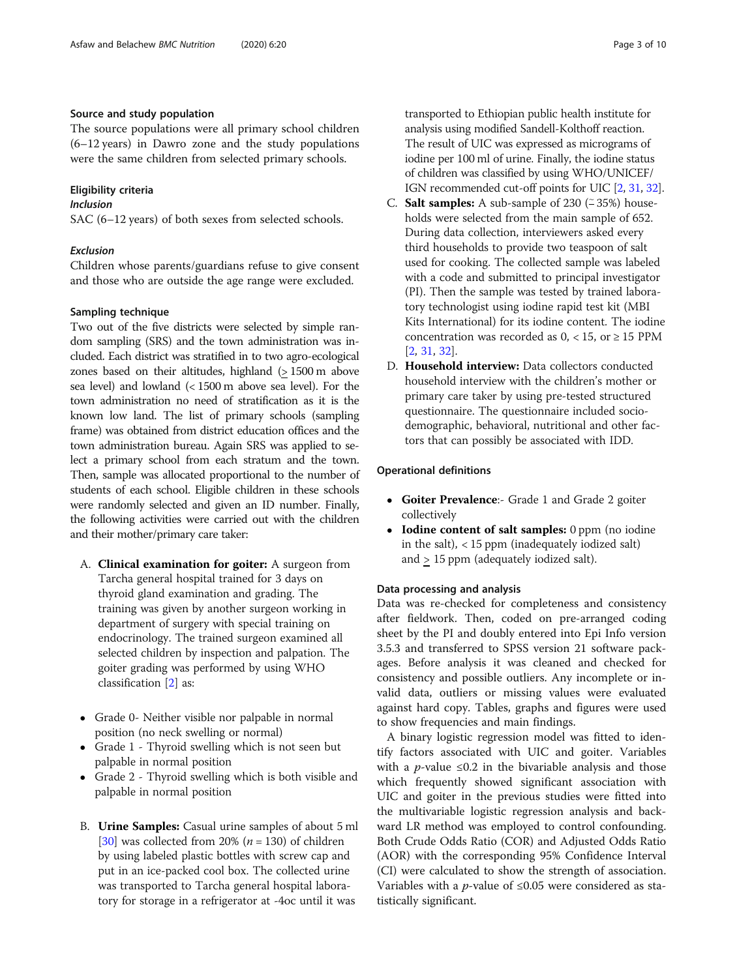### Source and study population

The source populations were all primary school children (6–12 years) in Dawro zone and the study populations were the same children from selected primary schools.

# Eligibility criteria

# Inclusion

SAC (6–12 years) of both sexes from selected schools.

# Exclusion

Children whose parents/guardians refuse to give consent and those who are outside the age range were excluded.

# Sampling technique

Two out of the five districts were selected by simple random sampling (SRS) and the town administration was included. Each district was stratified in to two agro-ecological zones based on their altitudes, highland (> 1500 m above sea level) and lowland (< 1500 m above sea level). For the town administration no need of stratification as it is the known low land. The list of primary schools (sampling frame) was obtained from district education offices and the town administration bureau. Again SRS was applied to select a primary school from each stratum and the town. Then, sample was allocated proportional to the number of students of each school. Eligible children in these schools were randomly selected and given an ID number. Finally, the following activities were carried out with the children and their mother/primary care taker:

- A. Clinical examination for goiter: A surgeon from Tarcha general hospital trained for 3 days on thyroid gland examination and grading. The training was given by another surgeon working in department of surgery with special training on endocrinology. The trained surgeon examined all selected children by inspection and palpation. The goiter grading was performed by using WHO classification [\[2](#page-8-0)] as:
- Grade 0- Neither visible nor palpable in normal position (no neck swelling or normal)
- Grade 1 Thyroid swelling which is not seen but palpable in normal position
- Grade 2 Thyroid swelling which is both visible and palpable in normal position
- B. Urine Samples: Casual urine samples of about 5 ml [\[30](#page-9-0)] was collected from 20% ( $n = 130$ ) of children by using labeled plastic bottles with screw cap and put in an ice-packed cool box. The collected urine was transported to Tarcha general hospital laboratory for storage in a refrigerator at -4oc until it was

transported to Ethiopian public health institute for analysis using modified Sandell-Kolthoff reaction. The result of UIC was expressed as micrograms of iodine per 100 ml of urine. Finally, the iodine status of children was classified by using WHO/UNICEF/ IGN recommended cut-off points for UIC [\[2,](#page-8-0) [31,](#page-9-0) [32\]](#page-9-0).

- C. Salt samples: A sub-sample of 230 ( $\approx$  35%) households were selected from the main sample of 652. During data collection, interviewers asked every third households to provide two teaspoon of salt used for cooking. The collected sample was labeled with a code and submitted to principal investigator (PI). Then the sample was tested by trained laboratory technologist using iodine rapid test kit (MBI Kits International) for its iodine content. The iodine concentration was recorded as  $0, < 15$ , or  $\geq 15$  PPM [[2](#page-8-0), [31](#page-9-0), [32\]](#page-9-0).
- D. Household interview: Data collectors conducted household interview with the children's mother or primary care taker by using pre-tested structured questionnaire. The questionnaire included sociodemographic, behavioral, nutritional and other factors that can possibly be associated with IDD.

# Operational definitions

- Goiter Prevalence:- Grade 1 and Grade 2 goiter collectively
- Iodine content of salt samples: 0 ppm (no iodine in the salt),  $<$  15 ppm (inadequately iodized salt) and > 15 ppm (adequately iodized salt).

### Data processing and analysis

Data was re-checked for completeness and consistency after fieldwork. Then, coded on pre-arranged coding sheet by the PI and doubly entered into Epi Info version 3.5.3 and transferred to SPSS version 21 software packages. Before analysis it was cleaned and checked for consistency and possible outliers. Any incomplete or invalid data, outliers or missing values were evaluated against hard copy. Tables, graphs and figures were used to show frequencies and main findings.

A binary logistic regression model was fitted to identify factors associated with UIC and goiter. Variables with a *p*-value  $\leq 0.2$  in the bivariable analysis and those which frequently showed significant association with UIC and goiter in the previous studies were fitted into the multivariable logistic regression analysis and backward LR method was employed to control confounding. Both Crude Odds Ratio (COR) and Adjusted Odds Ratio (AOR) with the corresponding 95% Confidence Interval (CI) were calculated to show the strength of association. Variables with a *p*-value of  $\leq 0.05$  were considered as statistically significant.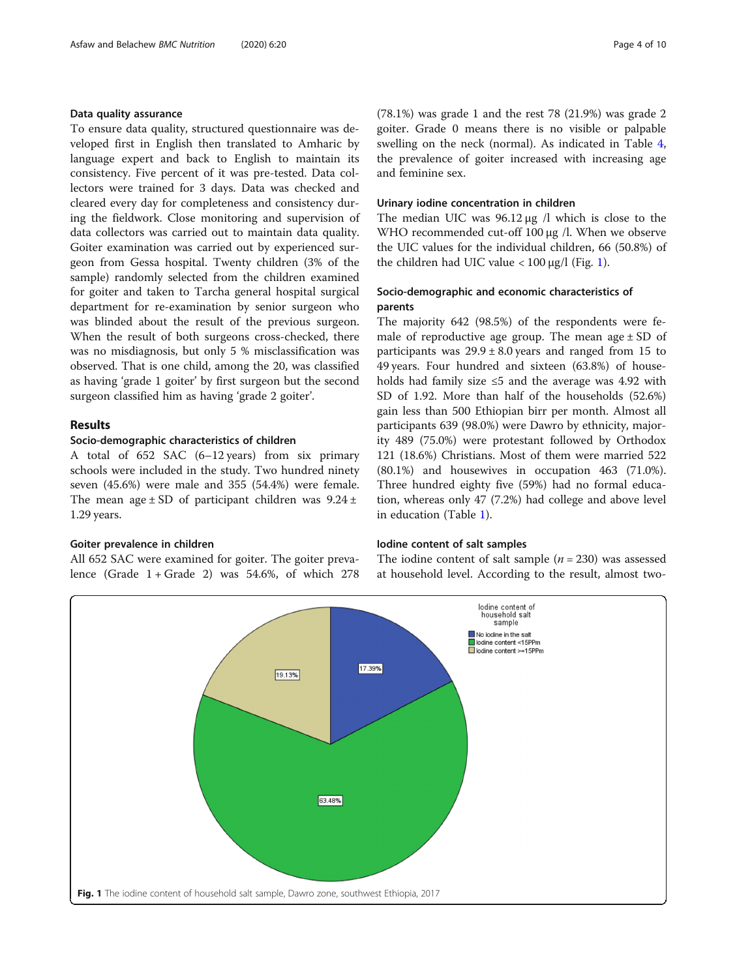### Data quality assurance

To ensure data quality, structured questionnaire was developed first in English then translated to Amharic by language expert and back to English to maintain its consistency. Five percent of it was pre-tested. Data collectors were trained for 3 days. Data was checked and cleared every day for completeness and consistency during the fieldwork. Close monitoring and supervision of data collectors was carried out to maintain data quality. Goiter examination was carried out by experienced surgeon from Gessa hospital. Twenty children (3% of the sample) randomly selected from the children examined for goiter and taken to Tarcha general hospital surgical department for re-examination by senior surgeon who was blinded about the result of the previous surgeon. When the result of both surgeons cross-checked, there was no misdiagnosis, but only 5 % misclassification was observed. That is one child, among the 20, was classified as having 'grade 1 goiter' by first surgeon but the second surgeon classified him as having 'grade 2 goiter'.

## Results

### Socio-demographic characteristics of children

A total of 652 SAC (6–12 years) from six primary schools were included in the study. Two hundred ninety seven (45.6%) were male and 355 (54.4%) were female. The mean age  $\pm$  SD of participant children was 9.24  $\pm$ 1.29 years.

#### Goiter prevalence in children

All 652 SAC were examined for goiter. The goiter prevalence (Grade  $1 +$  Grade 2) was 54.6%, of which 278 (78.1%) was grade 1 and the rest 78 (21.9%) was grade 2 goiter. Grade 0 means there is no visible or palpable swelling on the neck (normal). As indicated in Table [4](#page-6-0), the prevalence of goiter increased with increasing age and feminine sex.

### Urinary iodine concentration in children

The median UIC was 96.12 μg /l which is close to the WHO recommended cut-off 100 μg /l. When we observe the UIC values for the individual children, 66 (50.8%) of the children had UIC value  $< 100 \mu g/l$  (Fig. 1).

# Socio-demographic and economic characteristics of parents

The majority 642 (98.5%) of the respondents were female of reproductive age group. The mean age  $\pm$  SD of participants was  $29.9 \pm 8.0$  years and ranged from 15 to 49 years. Four hundred and sixteen (63.8%) of households had family size ≤5 and the average was 4.92 with SD of 1.92. More than half of the households (52.6%) gain less than 500 Ethiopian birr per month. Almost all participants 639 (98.0%) were Dawro by ethnicity, majority 489 (75.0%) were protestant followed by Orthodox 121 (18.6%) Christians. Most of them were married 522 (80.1%) and housewives in occupation 463 (71.0%). Three hundred eighty five (59%) had no formal education, whereas only 47 (7.2%) had college and above level in education (Table [1\)](#page-4-0).

#### Iodine content of salt samples

The iodine content of salt sample  $(n = 230)$  was assessed at household level. According to the result, almost two-

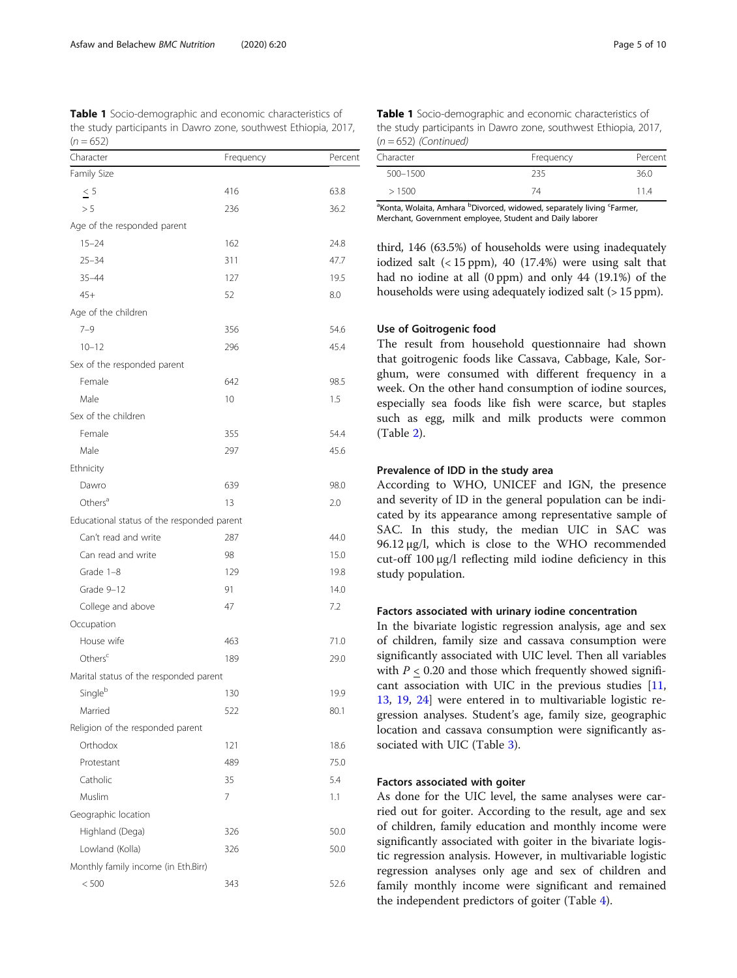<span id="page-4-0"></span>Table 1 Socio-demographic and economic characteristics of the study participants in Dawro zone, southwest Ethiopia, 2017,  $(n = 652)$ 

| Character                                  | Frequency | Percent |
|--------------------------------------------|-----------|---------|
| Family Size                                |           |         |
| < 5                                        | 416       | 63.8    |
| > 5                                        | 236       | 36.2    |
| Age of the responded parent                |           |         |
| $15 - 24$                                  | 162       | 24.8    |
| $25 - 34$                                  | 311       | 47.7    |
| $35 - 44$                                  | 127       | 19.5    |
| $45+$                                      | 52        | 8.0     |
| Age of the children                        |           |         |
| $7 - 9$                                    | 356       | 54.6    |
| $10 - 12$                                  | 296       | 45.4    |
| Sex of the responded parent                |           |         |
| Female                                     | 642       | 98.5    |
| Male                                       | 10        | 1.5     |
| Sex of the children                        |           |         |
| Female                                     | 355       | 54.4    |
| Male                                       | 297       | 45.6    |
| Ethnicity                                  |           |         |
| Dawro                                      | 639       | 98.0    |
| Others <sup>a</sup>                        | 13        | 2.0     |
| Educational status of the responded parent |           |         |
| Can't read and write                       | 287       | 44.0    |
| Can read and write                         | 98        | 15.0    |
| Grade 1-8                                  | 129       | 19.8    |
| Grade 9-12                                 | 91        | 14.0    |
| College and above                          | 47        | 7.2     |
| Occupation                                 |           |         |
| House wife                                 | 463       | 71.0    |
| Others <sup>c</sup>                        | 189       | 29.0    |
| Marital status of the responded parent     |           |         |
| Singleb                                    | 130       | 19.9    |
| Married                                    | 522       | 80.1    |
| Religion of the responded parent           |           |         |
| Orthodox                                   | 121       | 18.6    |
| Protestant                                 | 489       | 75.0    |
| Catholic                                   | 35        | 5.4     |
| Muslim                                     | 7         | 1.1     |
| Geographic location                        |           |         |
| Highland (Dega)                            | 326       | 50.0    |
| Lowland (Kolla)                            | 326       | 50.0    |
| Monthly family income (in Eth.Birr)        |           |         |
| < 500                                      | 343       | 52.6    |

| <b>Table 1</b> Socio-demographic and economic characteristics of |  |
|------------------------------------------------------------------|--|
| the study participants in Dawro zone, southwest Ethiopia, 2017,  |  |
| $(n = 652)$ (Continued)                                          |  |

| Character    | Frequency | Percent |
|--------------|-----------|---------|
| $500 - 1500$ | 235       | 36.0    |
| >1500        | 74        | 11.4    |

<sup>a</sup>Konta, Wolaita, Amhara <sup>b</sup>Divorced, widowed, separately living <sup>c</sup>Farmer, Merchant, Government employee, Student and Daily laborer

third, 146 (63.5%) of households were using inadequately iodized salt (< 15 ppm), 40 (17.4%) were using salt that had no iodine at all (0 ppm) and only 44 (19.1%) of the households were using adequately iodized salt (> 15 ppm).

### Use of Goitrogenic food

The result from household questionnaire had shown that goitrogenic foods like Cassava, Cabbage, Kale, Sorghum, were consumed with different frequency in a week. On the other hand consumption of iodine sources, especially sea foods like fish were scarce, but staples such as egg, milk and milk products were common (Table [2\)](#page-5-0).

### Prevalence of IDD in the study area

According to WHO, UNICEF and IGN, the presence and severity of ID in the general population can be indicated by its appearance among representative sample of SAC. In this study, the median UIC in SAC was 96.12 μg/l, which is close to the WHO recommended cut-off 100 μg/l reflecting mild iodine deficiency in this study population.

#### Factors associated with urinary iodine concentration

In the bivariate logistic regression analysis, age and sex of children, family size and cassava consumption were significantly associated with UIC level. Then all variables with  $P < 0.20$  and those which frequently showed significant association with UIC in the previous studies  $[11,$  $[11,$  $[11,$ [13,](#page-9-0) [19,](#page-9-0) [24\]](#page-9-0) were entered in to multivariable logistic regression analyses. Student's age, family size, geographic location and cassava consumption were significantly associated with UIC (Table [3\)](#page-5-0).

# Factors associated with goiter

As done for the UIC level, the same analyses were carried out for goiter. According to the result, age and sex of children, family education and monthly income were significantly associated with goiter in the bivariate logistic regression analysis. However, in multivariable logistic regression analyses only age and sex of children and family monthly income were significant and remained the independent predictors of goiter (Table [4\)](#page-6-0).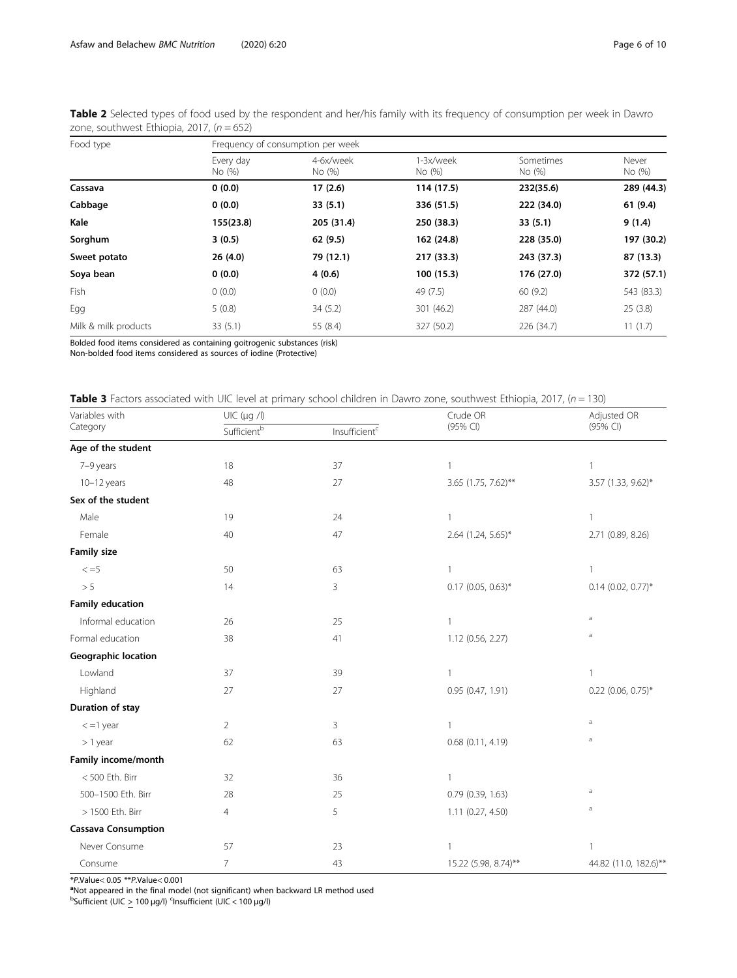| Food type            | Frequency of consumption per week |                     |                     |                     |                 |  |  |
|----------------------|-----------------------------------|---------------------|---------------------|---------------------|-----------------|--|--|
|                      | Every day<br>No (%)               | 4-6x/week<br>No (%) | 1-3x/week<br>No (%) | Sometimes<br>No (%) | Never<br>No (%) |  |  |
| Cassava              | 0(0.0)                            | 17(2.6)             | 114 (17.5)          | 232(35.6)           | 289 (44.3)      |  |  |
| Cabbage              | 0(0.0)                            | 33(5.1)             | 336 (51.5)          | 222 (34.0)          | 61(9.4)         |  |  |
| Kale                 | 155(23.8)                         | 205 (31.4)          | 250 (38.3)          | 33(5.1)             | 9(1.4)          |  |  |
| Sorghum              | 3(0.5)                            | 62 (9.5)            | 162 (24.8)          | 228 (35.0)          | 197 (30.2)      |  |  |
| Sweet potato         | 26(4.0)                           | 79 (12.1)           | 217 (33.3)          | 243 (37.3)          | 87 (13.3)       |  |  |
| Soya bean            | 0(0.0)                            | 4(0.6)              | 100(15.3)           | 176 (27.0)          | 372 (57.1)      |  |  |
| Fish                 | 0(0.0)                            | 0(0.0)              | 49 (7.5)            | 60(9.2)             | 543 (83.3)      |  |  |
| Egg                  | 5(0.8)                            | 34(5.2)             | 301 (46.2)          | 287 (44.0)          | 25(3.8)         |  |  |
| Milk & milk products | 33(5.1)                           | 55 (8.4)            | 327 (50.2)          | 226 (34.7)          | 11(1.7)         |  |  |

<span id="page-5-0"></span>Table 2 Selected types of food used by the respondent and her/his family with its frequency of consumption per week in Dawro zone, southwest Ethiopia, 2017,  $(n = 652)$ 

Bolded food items considered as containing goitrogenic substances (risk)

Non-bolded food items considered as sources of iodine (Protective)

|  | Table 3 Factors associated with UIC level at primary school children in Dawro zone, southwest Ethiopia, 2017, (n = 130) |
|--|-------------------------------------------------------------------------------------------------------------------------|

| Variables with             | UIC (µg /l)    |                           | Crude OR             | Adjusted OR           |  |
|----------------------------|----------------|---------------------------|----------------------|-----------------------|--|
| Category                   | Sufficientb    | Insufficient <sup>c</sup> | (95% CI)             | (95% CI)              |  |
| Age of the student         |                |                           |                      |                       |  |
| 7-9 years                  | 18             | 37                        |                      | 1                     |  |
| $10-12$ years              | 48             | 27                        | 3.65 (1.75, 7.62)**  | 3.57 (1.33, 9.62)*    |  |
| Sex of the student         |                |                           |                      |                       |  |
| Male                       | 19             | 24                        | $\mathbf{1}$         | 1                     |  |
| Female                     | 40             | 47                        | 2.64 (1.24, 5.65)*   | 2.71 (0.89, 8.26)     |  |
| <b>Family size</b>         |                |                           |                      |                       |  |
| $\leq$ =5                  | 50             | 63                        |                      | 1                     |  |
| > 5                        | 14             | 3                         | $0.17$ (0.05, 0.63)* | $0.14$ (0.02, 0.77)*  |  |
| <b>Family education</b>    |                |                           |                      |                       |  |
| Informal education         | 26             | 25                        | $\mathbf{1}$         | $\rm{a}$              |  |
| Formal education           | 38             | 41                        | 1.12 (0.56, 2.27)    | a                     |  |
| <b>Geographic location</b> |                |                           |                      |                       |  |
| Lowland                    | 37             | 39                        |                      | 1                     |  |
| Highland                   | 27             | 27                        | 0.95 (0.47, 1.91)    | $0.22$ (0.06, 0.75)*  |  |
| Duration of stay           |                |                           |                      |                       |  |
| $\epsilon$ =1 year         | $\overline{2}$ | 3                         |                      | a                     |  |
| $> 1$ year                 | 62             | 63                        | 0.68 (0.11, 4.19)    | a                     |  |
| Family income/month        |                |                           |                      |                       |  |
| <500 Eth. Birr             | 32             | 36                        |                      |                       |  |
| 500-1500 Eth. Birr         | 28             | 25                        | 0.79(0.39, 1.63)     | $\rm{a}$              |  |
| > 1500 Eth. Birr           | $\overline{4}$ | 5                         | 1.11 (0.27, 4.50)    | a                     |  |
| <b>Cassava Consumption</b> |                |                           |                      |                       |  |
| Never Consume              | 57             | 23                        |                      | 1                     |  |
| Consume                    | 7              | 43                        | 15.22 (5.98, 8.74)** | 44.82 (11.0, 182.6)** |  |

\*P.Value< 0.05 \*\*P.Value< 0.001<br><sup>a</sup>Not appeared in the final model (not significant) when backward LR method used<br><sup>b</sup>Sufficient (UIC > 100 μg/l) <sup>c</sup>Insufficient (UIC < 100 μg/l)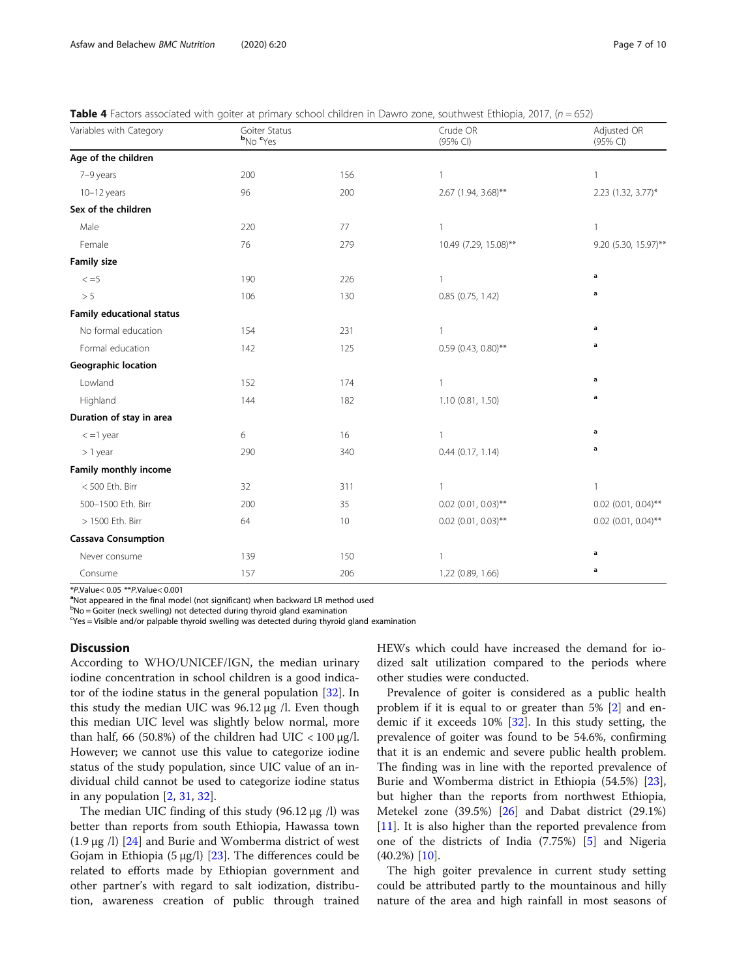<span id="page-6-0"></span>

|  |  | Table 4 Factors associated with goiter at primary school children in Dawro zone, southwest Ethiopia, 2017, (n = 652) |  |
|--|--|----------------------------------------------------------------------------------------------------------------------|--|

| Variables with Category          | Goiter Status<br>b <sub>No</sub> c <sub>Yes</sub> |     | Crude OR<br>(95% CI)  | Adjusted OR<br>(95% CI) |  |
|----------------------------------|---------------------------------------------------|-----|-----------------------|-------------------------|--|
| Age of the children              |                                                   |     |                       |                         |  |
| 7-9 years                        | 200                                               | 156 | $\mathbf{1}$          | $\mathbf{1}$            |  |
| $10-12$ years                    | 96                                                | 200 | 2.67 (1.94, 3.68)**   | 2.23 (1.32, 3.77)*      |  |
| Sex of the children              |                                                   |     |                       |                         |  |
| Male                             | 220                                               | 77  | $\overline{1}$        | $\mathbf{1}$            |  |
| Female                           | 76                                                | 279 | 10.49 (7.29, 15.08)** | 9.20 (5.30, 15.97)**    |  |
| <b>Family size</b>               |                                                   |     |                       |                         |  |
| $\leq$ =5                        | 190                                               | 226 | $\mathbf{1}$          | a                       |  |
| > 5                              | 106                                               | 130 | $0.85$ (0.75, 1.42)   | $\mathbf a$             |  |
| <b>Family educational status</b> |                                                   |     |                       |                         |  |
| No formal education              | 154                                               | 231 | $\overline{1}$        | a                       |  |
| Formal education                 | 142                                               | 125 | $0.59$ (0.43, 0.80)** | a                       |  |
| <b>Geographic location</b>       |                                                   |     |                       |                         |  |
| Lowland                          | 152                                               | 174 | $\mathbf{1}$          | $\mathbf a$             |  |
| Highland                         | 144                                               | 182 | 1.10 (0.81, 1.50)     | a                       |  |
| Duration of stay in area         |                                                   |     |                       |                         |  |
| $\epsilon$ =1 year               | 6                                                 | 16  | $\mathbf{1}$          | a                       |  |
| $> 1$ year                       | 290                                               | 340 | $0.44$ $(0.17, 1.14)$ | a                       |  |
| Family monthly income            |                                                   |     |                       |                         |  |
| <500 Eth. Birr                   | 32                                                | 311 | 1                     | $\mathbf{1}$            |  |
| 500-1500 Eth. Birr               | 200                                               | 35  | $0.02$ (0.01, 0.03)** | $0.02$ (0.01, 0.04)**   |  |
| > 1500 Eth. Birr                 | 64                                                | 10  | $0.02$ (0.01, 0.03)** | $0.02$ (0.01, 0.04)**   |  |
| <b>Cassava Consumption</b>       |                                                   |     |                       |                         |  |
| Never consume                    | 139                                               | 150 | $\overline{1}$        | a                       |  |
| Consume                          | 157                                               | 206 | 1.22 (0.89, 1.66)     | a                       |  |

 $*P$ .Value< 0.05  $*P$ .Value< 0.001

<sup>a</sup>Not appeared in the final model (not significant) when backward LR method used

<sup>b</sup>No = Goiter (neck swelling) not detected during thyroid gland examination

<sup>c</sup>Yes = Visible and/or palpable thyroid swelling was detected during thyroid gland examination

#### **Discussion**

According to WHO/UNICEF/IGN, the median urinary iodine concentration in school children is a good indicator of the iodine status in the general population [[32](#page-9-0)]. In this study the median UIC was 96.12 μg /l. Even though this median UIC level was slightly below normal, more than half, 66 (50.8%) of the children had UIC  $<$  100  $\mu$ g/l. However; we cannot use this value to categorize iodine status of the study population, since UIC value of an individual child cannot be used to categorize iodine status in any population  $[2, 31, 32]$  $[2, 31, 32]$  $[2, 31, 32]$  $[2, 31, 32]$  $[2, 31, 32]$  $[2, 31, 32]$ .

The median UIC finding of this study (96.12 μg /l) was better than reports from south Ethiopia, Hawassa town (1.9 μg /l) [[24\]](#page-9-0) and Burie and Womberma district of west Gojam in Ethiopia  $(5 \mu g/l)$  [[23\]](#page-9-0). The differences could be related to efforts made by Ethiopian government and other partner's with regard to salt iodization, distribution, awareness creation of public through trained HEWs which could have increased the demand for iodized salt utilization compared to the periods where other studies were conducted.

Prevalence of goiter is considered as a public health problem if it is equal to or greater than 5% [[2](#page-8-0)] and endemic if it exceeds 10% [[32\]](#page-9-0). In this study setting, the prevalence of goiter was found to be 54.6%, confirming that it is an endemic and severe public health problem. The finding was in line with the reported prevalence of Burie and Womberma district in Ethiopia (54.5%) [\[23](#page-9-0)], but higher than the reports from northwest Ethiopia, Metekel zone (39.5%) [\[26](#page-9-0)] and Dabat district (29.1%) [[11\]](#page-9-0). It is also higher than the reported prevalence from one of the districts of India (7.75%) [\[5](#page-9-0)] and Nigeria  $(40.2%)$  [[10\]](#page-9-0).

The high goiter prevalence in current study setting could be attributed partly to the mountainous and hilly nature of the area and high rainfall in most seasons of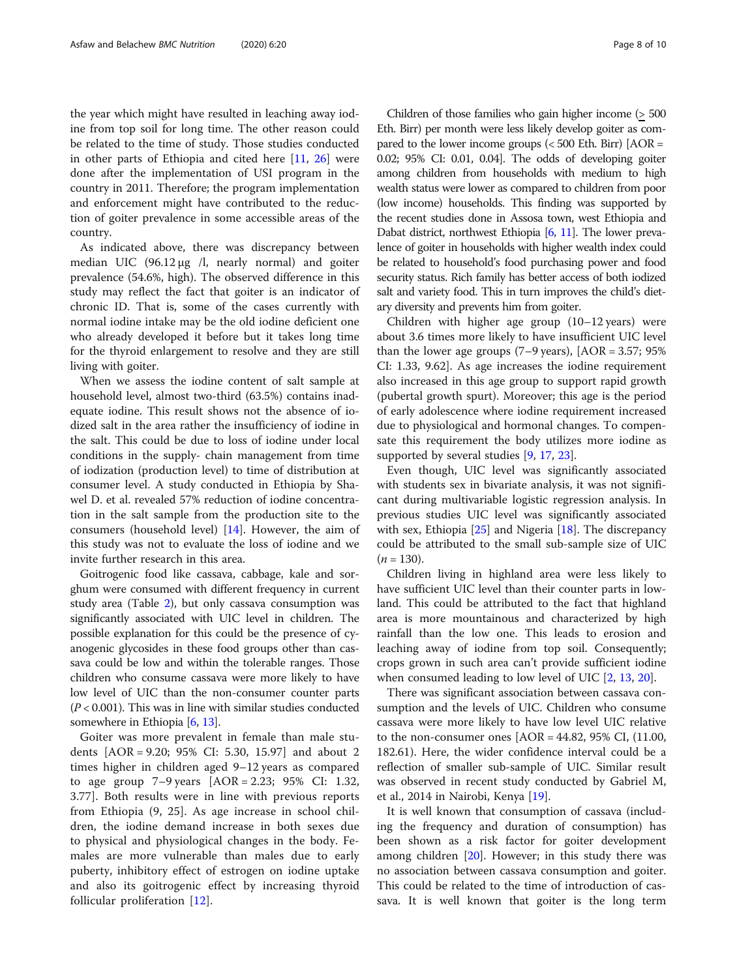the year which might have resulted in leaching away iodine from top soil for long time. The other reason could be related to the time of study. Those studies conducted in other parts of Ethiopia and cited here [[11,](#page-9-0) [26\]](#page-9-0) were done after the implementation of USI program in the country in 2011. Therefore; the program implementation and enforcement might have contributed to the reduction of goiter prevalence in some accessible areas of the country.

As indicated above, there was discrepancy between median UIC (96.12 μg /l, nearly normal) and goiter prevalence (54.6%, high). The observed difference in this study may reflect the fact that goiter is an indicator of chronic ID. That is, some of the cases currently with normal iodine intake may be the old iodine deficient one who already developed it before but it takes long time for the thyroid enlargement to resolve and they are still living with goiter.

When we assess the iodine content of salt sample at household level, almost two-third (63.5%) contains inadequate iodine. This result shows not the absence of iodized salt in the area rather the insufficiency of iodine in the salt. This could be due to loss of iodine under local conditions in the supply- chain management from time of iodization (production level) to time of distribution at consumer level. A study conducted in Ethiopia by Shawel D. et al. revealed 57% reduction of iodine concentration in the salt sample from the production site to the consumers (household level) [[14](#page-9-0)]. However, the aim of this study was not to evaluate the loss of iodine and we invite further research in this area.

Goitrogenic food like cassava, cabbage, kale and sorghum were consumed with different frequency in current study area (Table [2\)](#page-5-0), but only cassava consumption was significantly associated with UIC level in children. The possible explanation for this could be the presence of cyanogenic glycosides in these food groups other than cassava could be low and within the tolerable ranges. Those children who consume cassava were more likely to have low level of UIC than the non-consumer counter parts  $(P < 0.001)$ . This was in line with similar studies conducted somewhere in Ethiopia [\[6,](#page-9-0) [13](#page-9-0)].

Goiter was more prevalent in female than male students [AOR = 9.20; 95% CI: 5.30, 15.97] and about 2 times higher in children aged 9–12 years as compared to age group 7–9 years [AOR = 2.23; 95% CI: 1.32, 3.77]. Both results were in line with previous reports from Ethiopia (9, 25]. As age increase in school children, the iodine demand increase in both sexes due to physical and physiological changes in the body. Females are more vulnerable than males due to early puberty, inhibitory effect of estrogen on iodine uptake and also its goitrogenic effect by increasing thyroid follicular proliferation [[12\]](#page-9-0).

Children of those families who gain higher income (> 500 Eth. Birr) per month were less likely develop goiter as compared to the lower income groups  $( $500$  Eth. Birr)  $[AOR =$$ 0.02; 95% CI: 0.01, 0.04]. The odds of developing goiter among children from households with medium to high wealth status were lower as compared to children from poor (low income) households. This finding was supported by the recent studies done in Assosa town, west Ethiopia and Dabat district, northwest Ethiopia [\[6,](#page-9-0) [11](#page-9-0)]. The lower prevalence of goiter in households with higher wealth index could be related to household's food purchasing power and food security status. Rich family has better access of both iodized salt and variety food. This in turn improves the child's dietary diversity and prevents him from goiter.

Children with higher age group (10–12 years) were about 3.6 times more likely to have insufficient UIC level than the lower age groups  $(7–9 \text{ years})$ ,  $[AOR = 3.57; 95\%$ CI: 1.33, 9.62]. As age increases the iodine requirement also increased in this age group to support rapid growth (pubertal growth spurt). Moreover; this age is the period of early adolescence where iodine requirement increased due to physiological and hormonal changes. To compensate this requirement the body utilizes more iodine as supported by several studies [\[9](#page-9-0), [17](#page-9-0), [23\]](#page-9-0).

Even though, UIC level was significantly associated with students sex in bivariate analysis, it was not significant during multivariable logistic regression analysis. In previous studies UIC level was significantly associated with sex, Ethiopia [[25](#page-9-0)] and Nigeria [\[18](#page-9-0)]. The discrepancy could be attributed to the small sub-sample size of UIC  $(n = 130)$ .

Children living in highland area were less likely to have sufficient UIC level than their counter parts in lowland. This could be attributed to the fact that highland area is more mountainous and characterized by high rainfall than the low one. This leads to erosion and leaching away of iodine from top soil. Consequently; crops grown in such area can't provide sufficient iodine when consumed leading to low level of UIC [[2,](#page-8-0) [13,](#page-9-0) [20](#page-9-0)].

There was significant association between cassava consumption and the levels of UIC. Children who consume cassava were more likely to have low level UIC relative to the non-consumer ones  $[AOR = 44.82, 95\% \text{ CI}, (11.00,$ 182.61). Here, the wider confidence interval could be a reflection of smaller sub-sample of UIC. Similar result was observed in recent study conducted by Gabriel M, et al., 2014 in Nairobi, Kenya [\[19\]](#page-9-0).

It is well known that consumption of cassava (including the frequency and duration of consumption) has been shown as a risk factor for goiter development among children  $[20]$  $[20]$ . However; in this study there was no association between cassava consumption and goiter. This could be related to the time of introduction of cassava. It is well known that goiter is the long term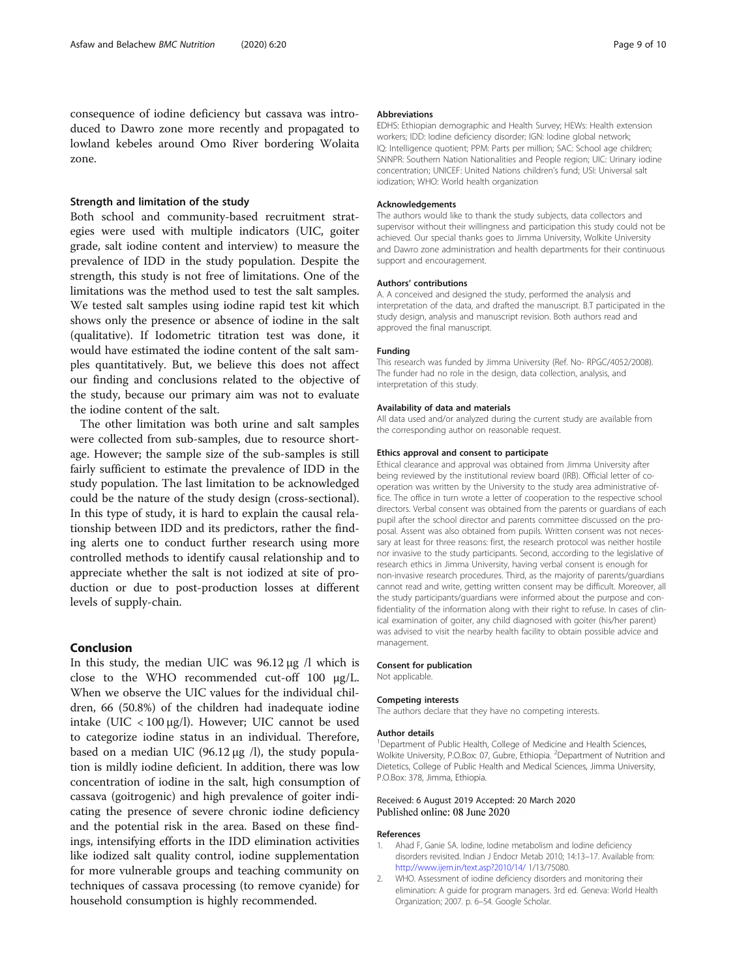# <span id="page-8-0"></span>Strength and limitation of the study

Both school and community-based recruitment strategies were used with multiple indicators (UIC, goiter grade, salt iodine content and interview) to measure the prevalence of IDD in the study population. Despite the strength, this study is not free of limitations. One of the limitations was the method used to test the salt samples. We tested salt samples using iodine rapid test kit which shows only the presence or absence of iodine in the salt (qualitative). If Iodometric titration test was done, it would have estimated the iodine content of the salt samples quantitatively. But, we believe this does not affect our finding and conclusions related to the objective of the study, because our primary aim was not to evaluate the iodine content of the salt.

The other limitation was both urine and salt samples were collected from sub-samples, due to resource shortage. However; the sample size of the sub-samples is still fairly sufficient to estimate the prevalence of IDD in the study population. The last limitation to be acknowledged could be the nature of the study design (cross-sectional). In this type of study, it is hard to explain the causal relationship between IDD and its predictors, rather the finding alerts one to conduct further research using more controlled methods to identify causal relationship and to appreciate whether the salt is not iodized at site of production or due to post-production losses at different levels of supply-chain.

### Conclusion

In this study, the median UIC was 96.12 μg /l which is close to the WHO recommended cut-off 100 μg/L. When we observe the UIC values for the individual children, 66 (50.8%) of the children had inadequate iodine intake (UIC < 100 μg/l). However; UIC cannot be used to categorize iodine status in an individual. Therefore, based on a median UIC (96.12  $\mu$ g /l), the study population is mildly iodine deficient. In addition, there was low concentration of iodine in the salt, high consumption of cassava (goitrogenic) and high prevalence of goiter indicating the presence of severe chronic iodine deficiency and the potential risk in the area. Based on these findings, intensifying efforts in the IDD elimination activities like iodized salt quality control, iodine supplementation for more vulnerable groups and teaching community on techniques of cassava processing (to remove cyanide) for household consumption is highly recommended.

#### Abbreviations

EDHS: Ethiopian demographic and Health Survey; HEWs: Health extension workers; IDD: Iodine deficiency disorder; IGN: Iodine global network; IQ: Intelligence quotient; PPM: Parts per million; SAC: School age children; SNNPR: Southern Nation Nationalities and People region; UIC: Urinary iodine concentration; UNICEF: United Nations children's fund; USI: Universal salt iodization; WHO: World health organization

#### Acknowledgements

The authors would like to thank the study subjects, data collectors and supervisor without their willingness and participation this study could not be achieved. Our special thanks goes to Jimma University, Wolkite University and Dawro zone administration and health departments for their continuous support and encouragement.

#### Authors' contributions

A. A conceived and designed the study, performed the analysis and interpretation of the data, and drafted the manuscript. B.T participated in the study design, analysis and manuscript revision. Both authors read and approved the final manuscript.

#### Funding

This research was funded by Jimma University (Ref. No- RPGC/4052/2008). The funder had no role in the design, data collection, analysis, and interpretation of this study.

#### Availability of data and materials

All data used and/or analyzed during the current study are available from the corresponding author on reasonable request.

#### Ethics approval and consent to participate

Ethical clearance and approval was obtained from Jimma University after being reviewed by the institutional review board (IRB). Official letter of cooperation was written by the University to the study area administrative office. The office in turn wrote a letter of cooperation to the respective school directors. Verbal consent was obtained from the parents or guardians of each pupil after the school director and parents committee discussed on the proposal. Assent was also obtained from pupils. Written consent was not necessary at least for three reasons: first, the research protocol was neither hostile nor invasive to the study participants. Second, according to the legislative of research ethics in Jimma University, having verbal consent is enough for non-invasive research procedures. Third, as the majority of parents/guardians cannot read and write, getting written consent may be difficult. Moreover, all the study participants/guardians were informed about the purpose and confidentiality of the information along with their right to refuse. In cases of clinical examination of goiter, any child diagnosed with goiter (his/her parent) was advised to visit the nearby health facility to obtain possible advice and management.

#### Consent for publication

Not applicable.

#### Competing interests

The authors declare that they have no competing interests.

#### Author details

<sup>1</sup>Department of Public Health, College of Medicine and Health Sciences, Wolkite University, P.O.Box: 07, Gubre, Ethiopia. <sup>2</sup>Department of Nutrition and Dietetics, College of Public Health and Medical Sciences, Jimma University, P.O.Box: 378, Jimma, Ethiopia.

#### Received: 6 August 2019 Accepted: 20 March 2020 Published online: 08 June 2020

#### References

- 1. Ahad F, Ganie SA. Iodine, Iodine metabolism and Iodine deficiency disorders revisited. Indian J Endocr Metab 2010; 14:13–17. Available from: <http://www.ijem.in/text.asp?2010/14/> 1/13/75080.
- 2. WHO. Assessment of iodine deficiency disorders and monitoring their elimination: A guide for program managers. 3rd ed. Geneva: World Health Organization; 2007. p. 6–54. Google Scholar.